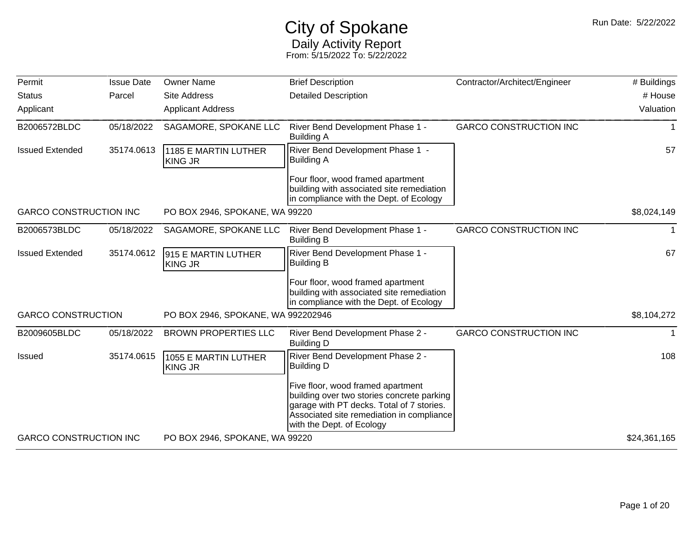## City of Spokane Daily Activity Report From: 5/15/2022 To: 5/22/2022

| Permit                        | <b>Issue Date</b> | <b>Owner Name</b>                                                                                                                                                                                                                                                                                                                                                                                                                                                                                                                                                                                                                                                                                                                                                                                                                                                                                                                                                                                                                                                                                                                                                                                                                                                                                                                                                 | <b>Brief Description</b>    | Contractor/Architect/Engineer | # Buildings  |
|-------------------------------|-------------------|-------------------------------------------------------------------------------------------------------------------------------------------------------------------------------------------------------------------------------------------------------------------------------------------------------------------------------------------------------------------------------------------------------------------------------------------------------------------------------------------------------------------------------------------------------------------------------------------------------------------------------------------------------------------------------------------------------------------------------------------------------------------------------------------------------------------------------------------------------------------------------------------------------------------------------------------------------------------------------------------------------------------------------------------------------------------------------------------------------------------------------------------------------------------------------------------------------------------------------------------------------------------------------------------------------------------------------------------------------------------|-----------------------------|-------------------------------|--------------|
| <b>Status</b>                 | Parcel            | <b>Site Address</b>                                                                                                                                                                                                                                                                                                                                                                                                                                                                                                                                                                                                                                                                                                                                                                                                                                                                                                                                                                                                                                                                                                                                                                                                                                                                                                                                               | <b>Detailed Description</b> |                               | # House      |
| Applicant                     |                   | <b>Applicant Address</b><br>05/18/2022<br>SAGAMORE, SPOKANE LLC<br>River Bend Development Phase 1 -<br><b>GARCO CONSTRUCTION INC</b><br><b>Building A</b><br>River Bend Development Phase 1 -<br>35174.0613<br>1185 E MARTIN LUTHER<br><b>Building A</b><br><b>KING JR</b><br>Four floor, wood framed apartment<br>building with associated site remediation<br>in compliance with the Dept. of Ecology<br>PO BOX 2946, SPOKANE, WA 99220<br>SAGAMORE, SPOKANE LLC<br><b>GARCO CONSTRUCTION INC</b><br>05/18/2022<br>River Bend Development Phase 1 -<br><b>Building B</b><br>35174.0612<br>River Bend Development Phase 1 -<br>915 E MARTIN LUTHER<br><b>Building B</b><br><b>KING JR</b><br>Four floor, wood framed apartment<br>building with associated site remediation<br>in compliance with the Dept. of Ecology<br>PO BOX 2946, SPOKANE, WA 992202946<br><b>GARCO CONSTRUCTION INC</b><br><b>BROWN PROPERTIES LLC</b><br>05/18/2022<br>River Bend Development Phase 2 -<br><b>Building D</b><br>35174.0615<br>River Bend Development Phase 2 -<br>1055 E MARTIN LUTHER<br><b>Building D</b><br><b>KING JR</b><br>Five floor, wood framed apartment<br>building over two stories concrete parking<br>garage with PT decks. Total of 7 stories.<br>Associated site remediation in compliance<br>with the Dept. of Ecology<br>PO BOX 2946, SPOKANE, WA 99220 | Valuation                   |                               |              |
| B2006572BLDC                  |                   |                                                                                                                                                                                                                                                                                                                                                                                                                                                                                                                                                                                                                                                                                                                                                                                                                                                                                                                                                                                                                                                                                                                                                                                                                                                                                                                                                                   |                             |                               | 1            |
| <b>Issued Extended</b>        |                   |                                                                                                                                                                                                                                                                                                                                                                                                                                                                                                                                                                                                                                                                                                                                                                                                                                                                                                                                                                                                                                                                                                                                                                                                                                                                                                                                                                   |                             |                               | 57           |
|                               |                   |                                                                                                                                                                                                                                                                                                                                                                                                                                                                                                                                                                                                                                                                                                                                                                                                                                                                                                                                                                                                                                                                                                                                                                                                                                                                                                                                                                   |                             |                               |              |
| <b>GARCO CONSTRUCTION INC</b> |                   |                                                                                                                                                                                                                                                                                                                                                                                                                                                                                                                                                                                                                                                                                                                                                                                                                                                                                                                                                                                                                                                                                                                                                                                                                                                                                                                                                                   |                             |                               | \$8,024,149  |
| B2006573BLDC                  |                   |                                                                                                                                                                                                                                                                                                                                                                                                                                                                                                                                                                                                                                                                                                                                                                                                                                                                                                                                                                                                                                                                                                                                                                                                                                                                                                                                                                   |                             |                               |              |
| <b>Issued Extended</b>        |                   |                                                                                                                                                                                                                                                                                                                                                                                                                                                                                                                                                                                                                                                                                                                                                                                                                                                                                                                                                                                                                                                                                                                                                                                                                                                                                                                                                                   |                             |                               | 67           |
|                               |                   |                                                                                                                                                                                                                                                                                                                                                                                                                                                                                                                                                                                                                                                                                                                                                                                                                                                                                                                                                                                                                                                                                                                                                                                                                                                                                                                                                                   |                             |                               |              |
| <b>GARCO CONSTRUCTION</b>     |                   |                                                                                                                                                                                                                                                                                                                                                                                                                                                                                                                                                                                                                                                                                                                                                                                                                                                                                                                                                                                                                                                                                                                                                                                                                                                                                                                                                                   |                             |                               | \$8,104,272  |
| B2009605BLDC                  |                   |                                                                                                                                                                                                                                                                                                                                                                                                                                                                                                                                                                                                                                                                                                                                                                                                                                                                                                                                                                                                                                                                                                                                                                                                                                                                                                                                                                   |                             |                               | 1            |
| <b>Issued</b>                 |                   |                                                                                                                                                                                                                                                                                                                                                                                                                                                                                                                                                                                                                                                                                                                                                                                                                                                                                                                                                                                                                                                                                                                                                                                                                                                                                                                                                                   |                             |                               | 108          |
|                               |                   |                                                                                                                                                                                                                                                                                                                                                                                                                                                                                                                                                                                                                                                                                                                                                                                                                                                                                                                                                                                                                                                                                                                                                                                                                                                                                                                                                                   |                             |                               |              |
| <b>GARCO CONSTRUCTION INC</b> |                   |                                                                                                                                                                                                                                                                                                                                                                                                                                                                                                                                                                                                                                                                                                                                                                                                                                                                                                                                                                                                                                                                                                                                                                                                                                                                                                                                                                   |                             |                               | \$24,361,165 |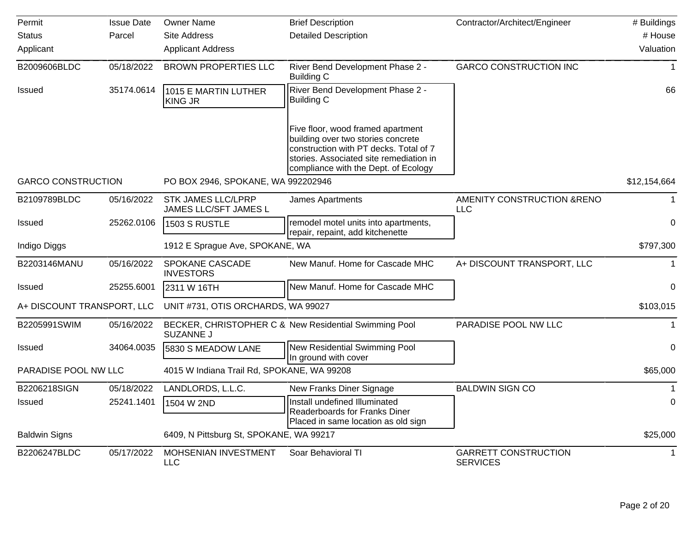| Permit                     | <b>Issue Date</b> | <b>Owner Name</b>                                                                                                                                                                                    | <b>Brief Description</b>                                                                              | Contractor/Architect/Engineer                  | # Buildings  |
|----------------------------|-------------------|------------------------------------------------------------------------------------------------------------------------------------------------------------------------------------------------------|-------------------------------------------------------------------------------------------------------|------------------------------------------------|--------------|
| <b>Status</b>              | Parcel            | Site Address                                                                                                                                                                                         | <b>Detailed Description</b>                                                                           |                                                | # House      |
| Applicant                  |                   | <b>Applicant Address</b>                                                                                                                                                                             |                                                                                                       |                                                | Valuation    |
| B2009606BLDC               | 05/18/2022        | <b>BROWN PROPERTIES LLC</b>                                                                                                                                                                          | River Bend Development Phase 2 -<br><b>Building C</b>                                                 | <b>GARCO CONSTRUCTION INC</b>                  |              |
| Issued                     | 35174.0614        | 1015 E MARTIN LUTHER<br><b>KING JR</b>                                                                                                                                                               | River Bend Development Phase 2 -<br><b>Building C</b>                                                 |                                                | 66           |
|                            |                   | Five floor, wood framed apartment<br>building over two stories concrete<br>construction with PT decks. Total of 7<br>stories. Associated site remediation in<br>compliance with the Dept. of Ecology |                                                                                                       |                                                |              |
| <b>GARCO CONSTRUCTION</b>  |                   | PO BOX 2946, SPOKANE, WA 992202946                                                                                                                                                                   |                                                                                                       |                                                | \$12,154,664 |
| B2109789BLDC               | 05/16/2022        | <b>STK JAMES LLC/LPRP</b><br>JAMES LLC/SFT JAMES L                                                                                                                                                   | James Apartments                                                                                      | AMENITY CONSTRUCTION & RENO<br><b>LLC</b>      |              |
| Issued                     | 25262.0106        | 1503 S RUSTLE                                                                                                                                                                                        | remodel motel units into apartments,<br>repair, repaint, add kitchenette                              |                                                | $\mathbf 0$  |
| Indigo Diggs               |                   | 1912 E Sprague Ave, SPOKANE, WA                                                                                                                                                                      |                                                                                                       |                                                | \$797,300    |
| B2203146MANU               | 05/16/2022        | SPOKANE CASCADE<br><b>INVESTORS</b>                                                                                                                                                                  | New Manuf. Home for Cascade MHC                                                                       | A+ DISCOUNT TRANSPORT, LLC                     |              |
| Issued                     | 25255.6001        | 2311 W 16TH                                                                                                                                                                                          | New Manuf. Home for Cascade MHC                                                                       |                                                | $\Omega$     |
| A+ DISCOUNT TRANSPORT, LLC |                   | UNIT #731, OTIS ORCHARDS, WA 99027                                                                                                                                                                   |                                                                                                       |                                                | \$103,015    |
| B2205991SWIM               | 05/16/2022        | <b>SUZANNE J</b>                                                                                                                                                                                     | BECKER, CHRISTOPHER C & New Residential Swimming Pool                                                 | PARADISE POOL NW LLC                           |              |
| Issued                     | 34064.0035        | 5830 S MEADOW LANE                                                                                                                                                                                   | New Residential Swimming Pool<br>In ground with cover                                                 |                                                | $\mathbf 0$  |
| PARADISE POOL NW LLC       |                   | 4015 W Indiana Trail Rd, SPOKANE, WA 99208                                                                                                                                                           |                                                                                                       |                                                | \$65,000     |
| B2206218SIGN               | 05/18/2022        | LANDLORDS, L.L.C.                                                                                                                                                                                    | New Franks Diner Signage                                                                              | <b>BALDWIN SIGN CO</b>                         |              |
| Issued                     | 25241.1401        | 1504 W 2ND                                                                                                                                                                                           | Install undefined Illuminated<br>Readerboards for Franks Diner<br>Placed in same location as old sign |                                                | 0            |
| <b>Baldwin Signs</b>       |                   | 6409, N Pittsburg St, SPOKANE, WA 99217                                                                                                                                                              |                                                                                                       |                                                | \$25,000     |
| B2206247BLDC               | 05/17/2022        | MOHSENIAN INVESTMENT<br><b>LLC</b>                                                                                                                                                                   | Soar Behavioral TI                                                                                    | <b>GARRETT CONSTRUCTION</b><br><b>SERVICES</b> | 1            |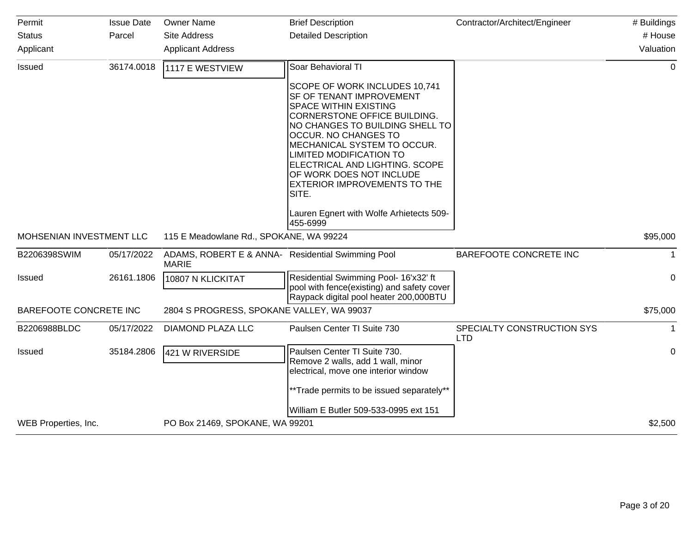| Permit                   | <b>Issue Date</b> | <b>Owner Name</b>                                                 | <b>Brief Description</b>                                                                                                                                                                                                                                                                                                                                                   | Contractor/Architect/Engineer            | # Buildings  |
|--------------------------|-------------------|-------------------------------------------------------------------|----------------------------------------------------------------------------------------------------------------------------------------------------------------------------------------------------------------------------------------------------------------------------------------------------------------------------------------------------------------------------|------------------------------------------|--------------|
| <b>Status</b>            | Parcel            | <b>Site Address</b>                                               | <b>Detailed Description</b>                                                                                                                                                                                                                                                                                                                                                |                                          | # House      |
| Applicant                |                   | <b>Applicant Address</b>                                          |                                                                                                                                                                                                                                                                                                                                                                            |                                          | Valuation    |
| <b>Issued</b>            | 36174.0018        | 1117 E WESTVIEW                                                   | Soar Behavioral TI                                                                                                                                                                                                                                                                                                                                                         |                                          | $\mathbf{0}$ |
|                          |                   |                                                                   | SCOPE OF WORK INCLUDES 10,741<br><b>SF OF TENANT IMPROVEMENT</b><br>SPACE WITHIN EXISTING<br><b>CORNERSTONE OFFICE BUILDING.</b><br>NO CHANGES TO BUILDING SHELL TO<br><b>OCCUR. NO CHANGES TO</b><br>MECHANICAL SYSTEM TO OCCUR.<br>LIMITED MODIFICATION TO<br>ELECTRICAL AND LIGHTING. SCOPE<br>OF WORK DOES NOT INCLUDE<br><b>EXTERIOR IMPROVEMENTS TO THE</b><br>SITE. |                                          |              |
|                          |                   |                                                                   | Lauren Egnert with Wolfe Arhietects 509-<br>455-6999                                                                                                                                                                                                                                                                                                                       |                                          |              |
| MOHSENIAN INVESTMENT LLC |                   | 115 E Meadowlane Rd., SPOKANE, WA 99224                           |                                                                                                                                                                                                                                                                                                                                                                            |                                          | \$95,000     |
| B2206398SWIM             | 05/17/2022        | ADAMS, ROBERT E & ANNA- Residential Swimming Pool<br><b>MARIE</b> |                                                                                                                                                                                                                                                                                                                                                                            | BAREFOOTE CONCRETE INC                   | $\mathbf 1$  |
| <b>Issued</b>            | 26161.1806        | 10807 N KLICKITAT                                                 | Residential Swimming Pool- 16'x32' ft<br>pool with fence(existing) and safety cover<br>Raypack digital pool heater 200,000BTU                                                                                                                                                                                                                                              |                                          | $\mathbf 0$  |
| BAREFOOTE CONCRETE INC   |                   | 2804 S PROGRESS, SPOKANE VALLEY, WA 99037                         |                                                                                                                                                                                                                                                                                                                                                                            |                                          | \$75,000     |
| B2206988BLDC             | 05/17/2022        | DIAMOND PLAZA LLC                                                 | Paulsen Center TI Suite 730                                                                                                                                                                                                                                                                                                                                                | SPECIALTY CONSTRUCTION SYS<br><b>LTD</b> |              |
| <b>Issued</b>            | 35184.2806        | 421 W RIVERSIDE                                                   | Paulsen Center TI Suite 730.<br>Remove 2 walls, add 1 wall, minor<br>electrical, move one interior window<br>**Trade permits to be issued separately**                                                                                                                                                                                                                     |                                          | 0            |
|                          |                   |                                                                   | William E Butler 509-533-0995 ext 151                                                                                                                                                                                                                                                                                                                                      |                                          |              |
| WEB Properties, Inc.     |                   | PO Box 21469, SPOKANE, WA 99201                                   |                                                                                                                                                                                                                                                                                                                                                                            |                                          | \$2,500      |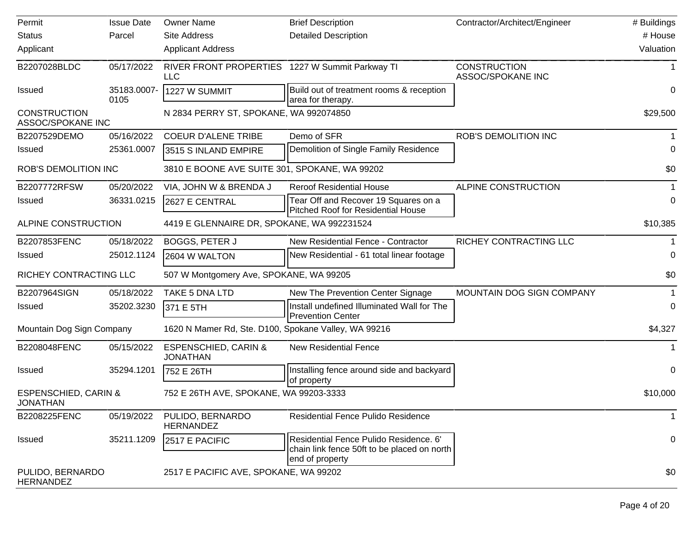| Permit                                             | <b>Issue Date</b>   | <b>Owner Name</b>                                      | <b>Brief Description</b>                                                                                 | Contractor/Architect/Engineer            | # Buildings  |
|----------------------------------------------------|---------------------|--------------------------------------------------------|----------------------------------------------------------------------------------------------------------|------------------------------------------|--------------|
| <b>Status</b>                                      | Parcel              | Site Address                                           | <b>Detailed Description</b>                                                                              |                                          | # House      |
| Applicant                                          |                     | <b>Applicant Address</b>                               |                                                                                                          |                                          | Valuation    |
| B2207028BLDC                                       | 05/17/2022          | RIVER FRONT PROPERTIES 1227 W Summit Parkway TI<br>LLC |                                                                                                          | <b>CONSTRUCTION</b><br>ASSOC/SPOKANE INC |              |
| <b>Issued</b>                                      | 35183.0007-<br>0105 | 1227 W SUMMIT                                          | Build out of treatment rooms & reception<br>area for therapy.                                            |                                          | 0            |
| <b>CONSTRUCTION</b><br>ASSOC/SPOKANE INC           |                     | N 2834 PERRY ST, SPOKANE, WA 992074850                 |                                                                                                          |                                          | \$29,500     |
| B2207529DEMO                                       | 05/16/2022          | <b>COEUR D'ALENE TRIBE</b>                             | Demo of SFR                                                                                              | <b>ROB'S DEMOLITION INC</b>              |              |
| <b>Issued</b>                                      | 25361.0007          | 3515 S INLAND EMPIRE                                   | Demolition of Single Family Residence                                                                    |                                          | 0            |
| <b>ROB'S DEMOLITION INC</b>                        |                     | 3810 E BOONE AVE SUITE 301, SPOKANE, WA 99202          |                                                                                                          |                                          | \$0          |
| B2207772RFSW                                       | 05/20/2022          | VIA, JOHN W & BRENDA J                                 | <b>Reroof Residential House</b>                                                                          | ALPINE CONSTRUCTION                      |              |
| <b>Issued</b>                                      | 36331.0215          | 2627 E CENTRAL                                         | Tear Off and Recover 19 Squares on a<br><b>Pitched Roof for Residential House</b>                        |                                          | 0            |
| ALPINE CONSTRUCTION                                |                     | 4419 E GLENNAIRE DR, SPOKANE, WA 992231524             |                                                                                                          |                                          | \$10,385     |
| B2207853FENC                                       | 05/18/2022          | <b>BOGGS, PETER J</b>                                  | New Residential Fence - Contractor                                                                       | RICHEY CONTRACTING LLC                   |              |
| <b>Issued</b>                                      | 25012.1124          | 2604 W WALTON                                          | New Residential - 61 total linear footage                                                                |                                          | 0            |
| RICHEY CONTRACTING LLC                             |                     | 507 W Montgomery Ave, SPOKANE, WA 99205                |                                                                                                          |                                          | \$0          |
| B2207964SIGN                                       | 05/18/2022          | TAKE 5 DNA LTD                                         | New The Prevention Center Signage                                                                        | MOUNTAIN DOG SIGN COMPANY                |              |
| <b>Issued</b>                                      | 35202.3230          | 371 E 5TH                                              | Install undefined Illuminated Wall for The<br><b>Prevention Center</b>                                   |                                          | 0            |
| Mountain Dog Sign Company                          |                     | 1620 N Mamer Rd, Ste. D100, Spokane Valley, WA 99216   |                                                                                                          |                                          | \$4,327      |
| B2208048FENC                                       | 05/15/2022          | <b>ESPENSCHIED, CARIN &amp;</b><br><b>JONATHAN</b>     | <b>New Residential Fence</b>                                                                             |                                          |              |
| <b>Issued</b>                                      | 35294.1201          | 752 E 26TH                                             | Installing fence around side and backyard<br>of property                                                 |                                          | 0            |
| <b>ESPENSCHIED, CARIN &amp;</b><br><b>JONATHAN</b> |                     | 752 E 26TH AVE, SPOKANE, WA 99203-3333                 |                                                                                                          |                                          | \$10,000     |
| B2208225FENC                                       | 05/19/2022          | PULIDO, BERNARDO<br><b>HERNANDEZ</b>                   | <b>Residential Fence Pulido Residence</b>                                                                |                                          | $\mathbf{1}$ |
| <b>Issued</b>                                      | 35211.1209          | 2517 E PACIFIC                                         | Residential Fence Pulido Residence. 6'<br>chain link fence 50ft to be placed on north<br>end of property |                                          | 0            |
| PULIDO, BERNARDO<br><b>HERNANDEZ</b>               |                     | 2517 E PACIFIC AVE, SPOKANE, WA 99202                  |                                                                                                          |                                          | \$0          |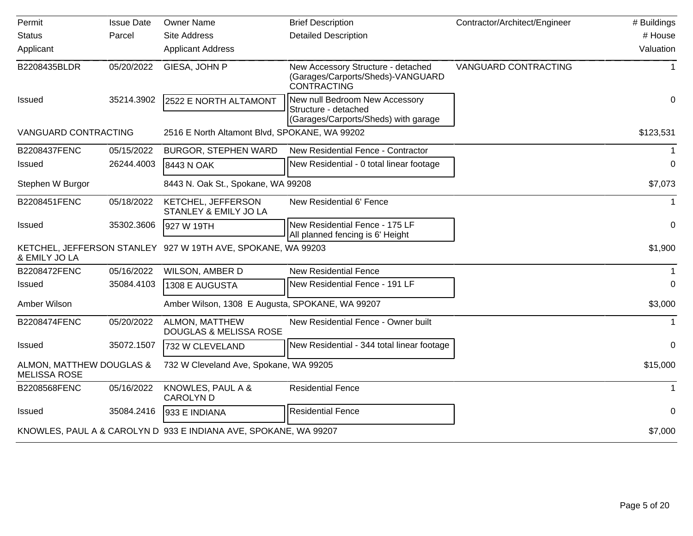| Permit                                          | <b>Issue Date</b> | <b>Owner Name</b>                                                | <b>Brief Description</b>                                                                       | Contractor/Architect/Engineer | # Buildings  |
|-------------------------------------------------|-------------------|------------------------------------------------------------------|------------------------------------------------------------------------------------------------|-------------------------------|--------------|
| <b>Status</b>                                   | Parcel            | <b>Site Address</b>                                              | <b>Detailed Description</b>                                                                    |                               | # House      |
| Applicant                                       |                   | <b>Applicant Address</b>                                         |                                                                                                |                               | Valuation    |
| B2208435BLDR                                    | 05/20/2022        | GIESA, JOHN P                                                    | New Accessory Structure - detached<br>(Garages/Carports/Sheds)-VANGUARD<br><b>CONTRACTING</b>  | VANGUARD CONTRACTING          | 1            |
| <b>Issued</b>                                   | 35214.3902        | 2522 E NORTH ALTAMONT                                            | New null Bedroom New Accessory<br>Structure - detached<br>(Garages/Carports/Sheds) with garage |                               | $\mathbf 0$  |
| <b>VANGUARD CONTRACTING</b>                     |                   | 2516 E North Altamont Blvd, SPOKANE, WA 99202                    |                                                                                                |                               | \$123,531    |
| B2208437FENC                                    | 05/15/2022        | <b>BURGOR, STEPHEN WARD</b>                                      | New Residential Fence - Contractor                                                             |                               |              |
| Issued                                          | 26244.4003        | 8443 N OAK                                                       | New Residential - 0 total linear footage                                                       |                               | 0            |
| Stephen W Burgor                                |                   | 8443 N. Oak St., Spokane, WA 99208                               |                                                                                                |                               | \$7,073      |
| B2208451FENC                                    | 05/18/2022        | KETCHEL, JEFFERSON<br><b>STANLEY &amp; EMILY JO LA</b>           | New Residential 6' Fence                                                                       |                               | 1            |
| <b>Issued</b>                                   | 35302.3606        | 927 W 19TH                                                       | New Residential Fence - 175 LF<br>All planned fencing is 6' Height                             |                               | 0            |
| & EMILY JO LA                                   |                   | KETCHEL, JEFFERSON STANLEY 927 W 19TH AVE, SPOKANE, WA 99203     |                                                                                                |                               | \$1,900      |
| B2208472FENC                                    | 05/16/2022        | <b>WILSON, AMBER D</b>                                           | <b>New Residential Fence</b>                                                                   |                               |              |
| Issued                                          | 35084.4103        | 1308 E AUGUSTA                                                   | New Residential Fence - 191 LF                                                                 |                               | $\Omega$     |
| Amber Wilson                                    |                   | Amber Wilson, 1308 E Augusta, SPOKANE, WA 99207                  |                                                                                                |                               | \$3,000      |
| B2208474FENC                                    | 05/20/2022        | ALMON, MATTHEW<br>DOUGLAS & MELISSA ROSE                         | New Residential Fence - Owner built                                                            |                               |              |
| <b>Issued</b>                                   | 35072.1507        | 732 W CLEVELAND                                                  | New Residential - 344 total linear footage                                                     |                               | 0            |
| ALMON, MATTHEW DOUGLAS &<br><b>MELISSA ROSE</b> |                   | 732 W Cleveland Ave, Spokane, WA 99205                           |                                                                                                |                               | \$15,000     |
| B2208568FENC                                    | 05/16/2022        | KNOWLES, PAUL A &<br><b>CAROLYND</b>                             | <b>Residential Fence</b>                                                                       |                               | $\mathbf{1}$ |
| <b>Issued</b>                                   | 35084.2416        | 933 E INDIANA                                                    | <b>Residential Fence</b>                                                                       |                               | 0            |
|                                                 |                   | KNOWLES, PAUL A & CAROLYN D 933 E INDIANA AVE, SPOKANE, WA 99207 |                                                                                                |                               | \$7,000      |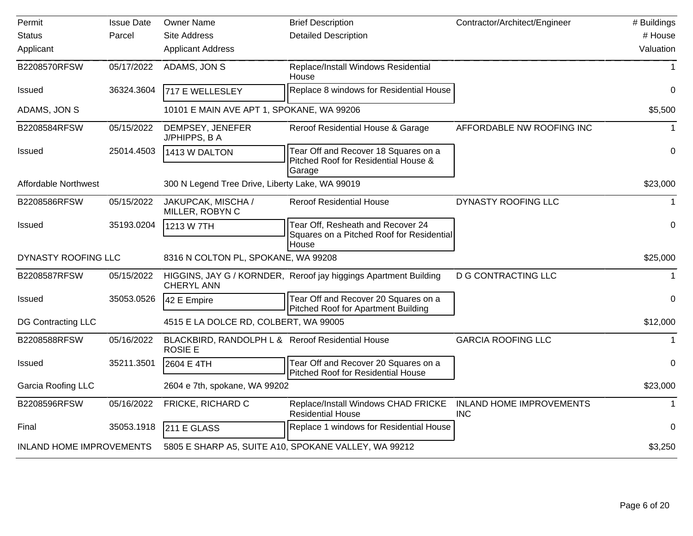| Permit                          | <b>Issue Date</b> | <b>Owner Name</b>                                                  | <b>Brief Description</b>                                                                | Contractor/Architect/Engineer                 | # Buildings  |
|---------------------------------|-------------------|--------------------------------------------------------------------|-----------------------------------------------------------------------------------------|-----------------------------------------------|--------------|
| <b>Status</b>                   | Parcel            | <b>Site Address</b>                                                | <b>Detailed Description</b>                                                             |                                               | # House      |
| Applicant                       |                   | <b>Applicant Address</b>                                           |                                                                                         |                                               | Valuation    |
| B2208570RFSW                    | 05/17/2022        | ADAMS, JON S                                                       | Replace/Install Windows Residential<br>House                                            |                                               | 1            |
| <b>Issued</b>                   | 36324.3604        | 717 E WELLESLEY                                                    | Replace 8 windows for Residential House                                                 |                                               | 0            |
| ADAMS, JON S                    |                   | 10101 E MAIN AVE APT 1, SPOKANE, WA 99206                          |                                                                                         |                                               | \$5,500      |
| B2208584RFSW                    | 05/15/2022        | DEMPSEY, JENEFER<br>J/PHIPPS, B A                                  | Reroof Residential House & Garage                                                       | AFFORDABLE NW ROOFING INC                     |              |
| <b>Issued</b>                   | 25014.4503        | 1413 W DALTON                                                      | Tear Off and Recover 18 Squares on a<br>Pitched Roof for Residential House &<br>Garage  |                                               | $\mathbf 0$  |
| <b>Affordable Northwest</b>     |                   | 300 N Legend Tree Drive, Liberty Lake, WA 99019                    |                                                                                         |                                               | \$23,000     |
| B2208586RFSW                    | 05/15/2022        | JAKUPCAK, MISCHA /<br>MILLER, ROBYN C                              | <b>Reroof Residential House</b>                                                         | DYNASTY ROOFING LLC                           | $\mathbf 1$  |
| <b>Issued</b>                   | 35193.0204        | 1213 W 7TH                                                         | Tear Off, Resheath and Recover 24<br>Squares on a Pitched Roof for Residential<br>House |                                               | $\mathbf 0$  |
| DYNASTY ROOFING LLC             |                   | 8316 N COLTON PL, SPOKANE, WA 99208                                |                                                                                         |                                               | \$25,000     |
| B2208587RFSW                    | 05/15/2022        | <b>CHERYL ANN</b>                                                  | HIGGINS, JAY G / KORNDER, Reroof jay higgings Apartment Building                        | <b>D G CONTRACTING LLC</b>                    |              |
| <b>Issued</b>                   | 35053.0526        | 42 E Empire                                                        | Tear Off and Recover 20 Squares on a<br><b>Pitched Roof for Apartment Building</b>      |                                               | $\mathbf 0$  |
| <b>DG Contracting LLC</b>       |                   | 4515 E LA DOLCE RD, COLBERT, WA 99005                              |                                                                                         |                                               | \$12,000     |
| B2208588RFSW                    | 05/16/2022        | BLACKBIRD, RANDOLPH L & Reroof Residential House<br><b>ROSIE E</b> |                                                                                         | <b>GARCIA ROOFING LLC</b>                     | $\mathbf 1$  |
| <b>Issued</b>                   | 35211.3501        | 2604 E 4TH                                                         | Tear Off and Recover 20 Squares on a<br><b>Pitched Roof for Residential House</b>       |                                               | 0            |
| Garcia Roofing LLC              |                   | 2604 e 7th, spokane, WA 99202                                      |                                                                                         |                                               | \$23,000     |
| B2208596RFSW                    | 05/16/2022        | FRICKE, RICHARD C                                                  | Replace/Install Windows CHAD FRICKE<br><b>Residential House</b>                         | <b>INLAND HOME IMPROVEMENTS</b><br><b>INC</b> | $\mathbf{1}$ |
| Final                           | 35053.1918        | 211 E GLASS                                                        | Replace 1 windows for Residential House                                                 |                                               | $\Omega$     |
| <b>INLAND HOME IMPROVEMENTS</b> |                   |                                                                    | 5805 E SHARP A5, SUITE A10, SPOKANE VALLEY, WA 99212                                    |                                               | \$3,250      |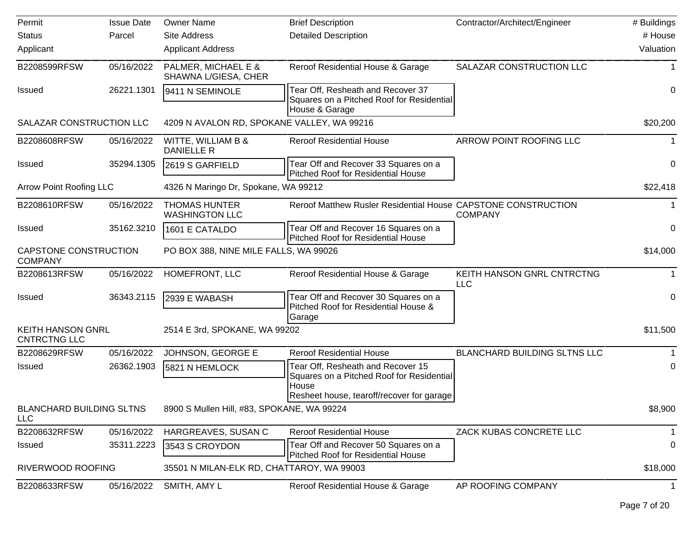| Permit                                          | <b>Issue Date</b> | <b>Owner Name</b>                             | <b>Brief Description</b>                                                                                                             | Contractor/Architect/Engineer       | # Buildings |
|-------------------------------------------------|-------------------|-----------------------------------------------|--------------------------------------------------------------------------------------------------------------------------------------|-------------------------------------|-------------|
| <b>Status</b>                                   | Parcel            | <b>Site Address</b>                           | <b>Detailed Description</b>                                                                                                          |                                     | # House     |
| Applicant                                       |                   | <b>Applicant Address</b>                      |                                                                                                                                      |                                     | Valuation   |
| B2208599RFSW                                    | 05/16/2022        | PALMER, MICHAEL E &<br>SHAWNA L/GIESA, CHER   | Reroof Residential House & Garage                                                                                                    | SALAZAR CONSTRUCTION LLC            |             |
| <b>Issued</b>                                   | 26221.1301        | 9411 N SEMINOLE                               | Tear Off, Resheath and Recover 37<br>Squares on a Pitched Roof for Residential<br>House & Garage                                     |                                     | 0           |
| SALAZAR CONSTRUCTION LLC                        |                   | 4209 N AVALON RD, SPOKANE VALLEY, WA 99216    |                                                                                                                                      |                                     | \$20,200    |
| B2208608RFSW                                    | 05/16/2022        | WITTE, WILLIAM B &<br>DANIELLE R              | <b>Reroof Residential House</b>                                                                                                      | ARROW POINT ROOFING LLC             |             |
| <b>Issued</b>                                   | 35294.1305        | 2619 S GARFIELD                               | Tear Off and Recover 33 Squares on a<br><b>Pitched Roof for Residential House</b>                                                    |                                     | 0           |
| <b>Arrow Point Roofing LLC</b>                  |                   | 4326 N Maringo Dr, Spokane, WA 99212          |                                                                                                                                      |                                     | \$22,418    |
| B2208610RFSW                                    | 05/16/2022        | <b>THOMAS HUNTER</b><br><b>WASHINGTON LLC</b> | Reroof Matthew Rusler Residential House CAPSTONE CONSTRUCTION                                                                        | <b>COMPANY</b>                      |             |
| <b>Issued</b>                                   | 35162.3210        | 1601 E CATALDO                                | Tear Off and Recover 16 Squares on a<br><b>Pitched Roof for Residential House</b>                                                    |                                     | 0           |
| CAPSTONE CONSTRUCTION<br><b>COMPANY</b>         |                   | PO BOX 388, NINE MILE FALLS, WA 99026         |                                                                                                                                      |                                     | \$14,000    |
| B2208613RFSW                                    | 05/16/2022        | HOMEFRONT, LLC                                | Reroof Residential House & Garage                                                                                                    | KEITH HANSON GNRL CNTRCTNG<br>LLC   | 1           |
| <b>Issued</b>                                   | 36343.2115        | 2939 E WABASH                                 | Tear Off and Recover 30 Squares on a<br>Pitched Roof for Residential House &<br>Garage                                               |                                     | 0           |
| <b>KEITH HANSON GNRL</b><br><b>CNTRCTNG LLC</b> |                   | 2514 E 3rd, SPOKANE, WA 99202                 |                                                                                                                                      |                                     | \$11,500    |
| B2208629RFSW                                    | 05/16/2022        | JOHNSON, GEORGE E                             | <b>Reroof Residential House</b>                                                                                                      | <b>BLANCHARD BUILDING SLTNS LLC</b> |             |
| <b>Issued</b>                                   | 26362.1903        | 5821 N HEMLOCK                                | Tear Off, Resheath and Recover 15<br>Squares on a Pitched Roof for Residential<br>House<br>Resheet house, tearoff/recover for garage |                                     | 0           |
| <b>BLANCHARD BUILDING SLTNS</b><br><b>LLC</b>   |                   | 8900 S Mullen Hill, #83, SPOKANE, WA 99224    |                                                                                                                                      |                                     | \$8,900     |
| B2208632RFSW                                    | 05/16/2022        | HARGREAVES, SUSAN C                           | <b>Reroof Residential House</b>                                                                                                      | ZACK KUBAS CONCRETE LLC             | 1           |
| <b>Issued</b>                                   | 35311.2223        | 3543 S CROYDON                                | Tear Off and Recover 50 Squares on a<br>Pitched Roof for Residential House                                                           |                                     | 0           |
| RIVERWOOD ROOFING                               |                   | 35501 N MILAN-ELK RD, CHATTAROY, WA 99003     |                                                                                                                                      |                                     | \$18,000    |
| B2208633RFSW                                    | 05/16/2022        | SMITH, AMY L                                  | Reroof Residential House & Garage                                                                                                    | AP ROOFING COMPANY                  | 1           |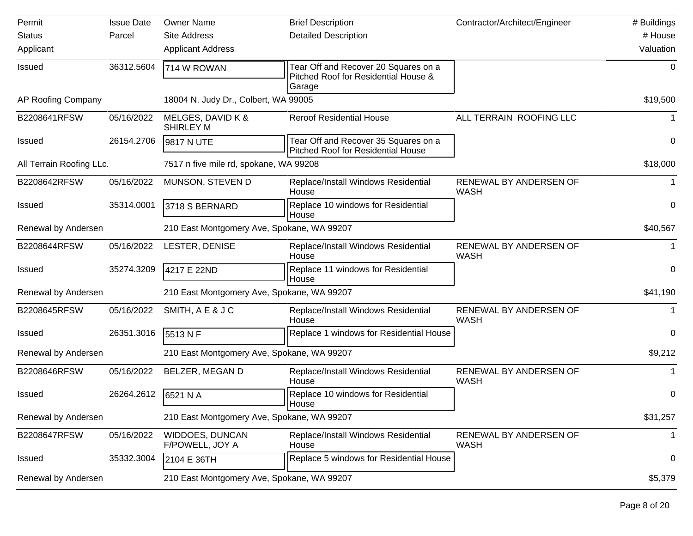| Permit                   | <b>Issue Date</b> | <b>Owner Name</b>                          | <b>Brief Description</b>                                                               | Contractor/Architect/Engineer         | # Buildings |
|--------------------------|-------------------|--------------------------------------------|----------------------------------------------------------------------------------------|---------------------------------------|-------------|
| <b>Status</b>            | Parcel            | <b>Site Address</b>                        | <b>Detailed Description</b>                                                            |                                       | # House     |
| Applicant                |                   | <b>Applicant Address</b>                   |                                                                                        |                                       | Valuation   |
| <b>Issued</b>            | 36312.5604        | 714 W ROWAN                                | Tear Off and Recover 20 Squares on a<br>Pitched Roof for Residential House &<br>Garage |                                       | 0           |
| AP Roofing Company       |                   | 18004 N. Judy Dr., Colbert, WA 99005       |                                                                                        |                                       | \$19,500    |
| B2208641RFSW             | 05/16/2022        | MELGES, DAVID K &<br><b>SHIRLEY M</b>      | <b>Reroof Residential House</b>                                                        | ALL TERRAIN ROOFING LLC               | 1.          |
| <b>Issued</b>            | 26154.2706        | 9817 N UTE                                 | Tear Off and Recover 35 Squares on a<br><b>Pitched Roof for Residential House</b>      |                                       | $\mathbf 0$ |
| All Terrain Roofing LLc. |                   | 7517 n five mile rd, spokane, WA 99208     |                                                                                        |                                       | \$18,000    |
| B2208642RFSW             | 05/16/2022        | MUNSON, STEVEN D                           | Replace/Install Windows Residential<br>House                                           | RENEWAL BY ANDERSEN OF<br><b>WASH</b> | -1          |
| <b>Issued</b>            | 35314.0001        | 3718 S BERNARD                             | Replace 10 windows for Residential<br>House                                            |                                       | 0           |
| Renewal by Andersen      |                   | 210 East Montgomery Ave, Spokane, WA 99207 |                                                                                        |                                       | \$40,567    |
| B2208644RFSW             | 05/16/2022        | LESTER, DENISE                             | Replace/Install Windows Residential<br>House                                           | RENEWAL BY ANDERSEN OF<br><b>WASH</b> |             |
| <b>Issued</b>            | 35274.3209        | 4217 E 22ND                                | Replace 11 windows for Residential<br>House                                            |                                       | 0           |
| Renewal by Andersen      |                   | 210 East Montgomery Ave, Spokane, WA 99207 |                                                                                        |                                       | \$41,190    |
| B2208645RFSW             | 05/16/2022        | SMITH, A E & J C                           | Replace/Install Windows Residential<br>House                                           | RENEWAL BY ANDERSEN OF<br><b>WASH</b> |             |
| <b>Issued</b>            | 26351.3016        | 5513 N F                                   | Replace 1 windows for Residential House                                                |                                       | 0           |
| Renewal by Andersen      |                   | 210 East Montgomery Ave, Spokane, WA 99207 |                                                                                        |                                       | \$9,212     |
| B2208646RFSW             | 05/16/2022        | <b>BELZER, MEGAN D</b>                     | Replace/Install Windows Residential<br>House                                           | RENEWAL BY ANDERSEN OF<br><b>WASH</b> |             |
| <b>Issued</b>            | 26264.2612        | 6521 N A                                   | Replace 10 windows for Residential<br>House                                            |                                       | 0           |
| Renewal by Andersen      |                   | 210 East Montgomery Ave, Spokane, WA 99207 |                                                                                        |                                       | \$31,257    |
| B2208647RFSW             | 05/16/2022        | <b>WIDDOES, DUNCAN</b><br>F/POWELL, JOY A  | Replace/Install Windows Residential<br>House                                           | RENEWAL BY ANDERSEN OF<br><b>WASH</b> | -1          |
| <b>Issued</b>            | 35332.3004        | 2104 E 36TH                                | Replace 5 windows for Residential House                                                |                                       | 0           |
| Renewal by Andersen      |                   | 210 East Montgomery Ave, Spokane, WA 99207 |                                                                                        |                                       | \$5,379     |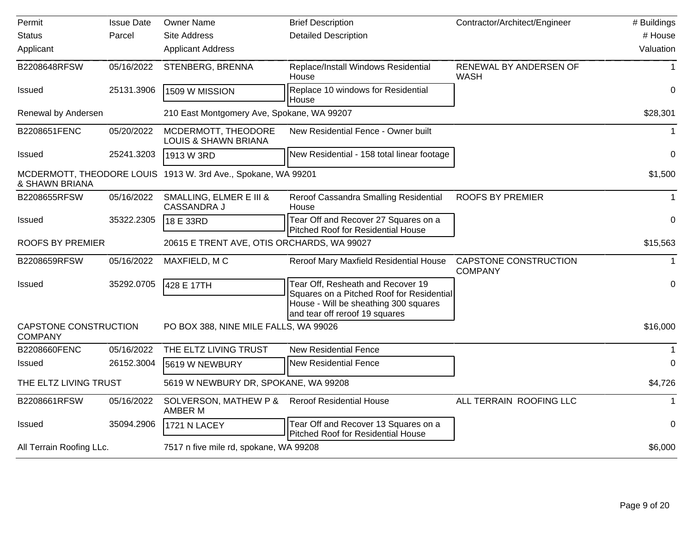| Permit                                  | <b>Issue Date</b> | <b>Owner Name</b>                                             | <b>Brief Description</b>                                                                                                                                  | Contractor/Architect/Engineer           | # Buildings |
|-----------------------------------------|-------------------|---------------------------------------------------------------|-----------------------------------------------------------------------------------------------------------------------------------------------------------|-----------------------------------------|-------------|
| <b>Status</b>                           | Parcel            | <b>Site Address</b>                                           | <b>Detailed Description</b>                                                                                                                               |                                         | # House     |
| Applicant                               |                   | <b>Applicant Address</b>                                      |                                                                                                                                                           |                                         | Valuation   |
| B2208648RFSW                            | 05/16/2022        | STENBERG, BRENNA                                              | Replace/Install Windows Residential<br>House                                                                                                              | RENEWAL BY ANDERSEN OF<br><b>WASH</b>   | 1           |
| <b>Issued</b>                           | 25131.3906        | 1509 W MISSION                                                | Replace 10 windows for Residential<br>House                                                                                                               |                                         | 0           |
| Renewal by Andersen                     |                   | 210 East Montgomery Ave, Spokane, WA 99207                    |                                                                                                                                                           |                                         | \$28,301    |
| B2208651FENC                            | 05/20/2022        | MCDERMOTT, THEODORE<br><b>LOUIS &amp; SHAWN BRIANA</b>        | New Residential Fence - Owner built                                                                                                                       |                                         | $\mathbf 1$ |
| <b>Issued</b>                           | 25241.3203        | 1913 W 3RD                                                    | New Residential - 158 total linear footage                                                                                                                |                                         | 0           |
| & SHAWN BRIANA                          |                   | MCDERMOTT, THEODORE LOUIS 1913 W. 3rd Ave., Spokane, WA 99201 |                                                                                                                                                           |                                         | \$1,500     |
| B2208655RFSW                            | 05/16/2022        | SMALLING, ELMER E III &<br><b>CASSANDRA J</b>                 | Reroof Cassandra Smalling Residential<br>House                                                                                                            | <b>ROOFS BY PREMIER</b>                 |             |
| <b>Issued</b>                           | 35322.2305        | 18 E 33RD                                                     | Tear Off and Recover 27 Squares on a<br><b>Pitched Roof for Residential House</b>                                                                         |                                         | 0           |
| <b>ROOFS BY PREMIER</b>                 |                   | 20615 E TRENT AVE, OTIS ORCHARDS, WA 99027                    |                                                                                                                                                           |                                         | \$15,563    |
| B2208659RFSW                            | 05/16/2022        | MAXFIELD, MC                                                  | Reroof Mary Maxfield Residential House                                                                                                                    | CAPSTONE CONSTRUCTION<br><b>COMPANY</b> | $\mathbf 1$ |
| <b>Issued</b>                           | 35292.0705        | 428 E 17TH                                                    | Tear Off, Resheath and Recover 19<br>Squares on a Pitched Roof for Residential<br>House - Will be sheathing 300 squares<br>and tear off reroof 19 squares |                                         | 0           |
| CAPSTONE CONSTRUCTION<br><b>COMPANY</b> |                   | PO BOX 388, NINE MILE FALLS, WA 99026                         |                                                                                                                                                           |                                         | \$16,000    |
| B2208660FENC                            | 05/16/2022        | THE ELTZ LIVING TRUST                                         | <b>New Residential Fence</b>                                                                                                                              |                                         |             |
| <b>Issued</b>                           | 26152.3004        | 5619 W NEWBURY                                                | <b>New Residential Fence</b>                                                                                                                              |                                         | $\Omega$    |
| THE ELTZ LIVING TRUST                   |                   | 5619 W NEWBURY DR, SPOKANE, WA 99208                          |                                                                                                                                                           |                                         | \$4,726     |
| B2208661RFSW                            | 05/16/2022        | SOLVERSON, MATHEW P &<br>AMBER M                              | <b>Reroof Residential House</b>                                                                                                                           | ALL TERRAIN ROOFING LLC                 |             |
| <b>Issued</b>                           | 35094.2906        | 1721 N LACEY                                                  | Tear Off and Recover 13 Squares on a<br><b>Pitched Roof for Residential House</b>                                                                         |                                         | 0           |
| All Terrain Roofing LLc.                |                   | 7517 n five mile rd, spokane, WA 99208                        |                                                                                                                                                           |                                         | \$6,000     |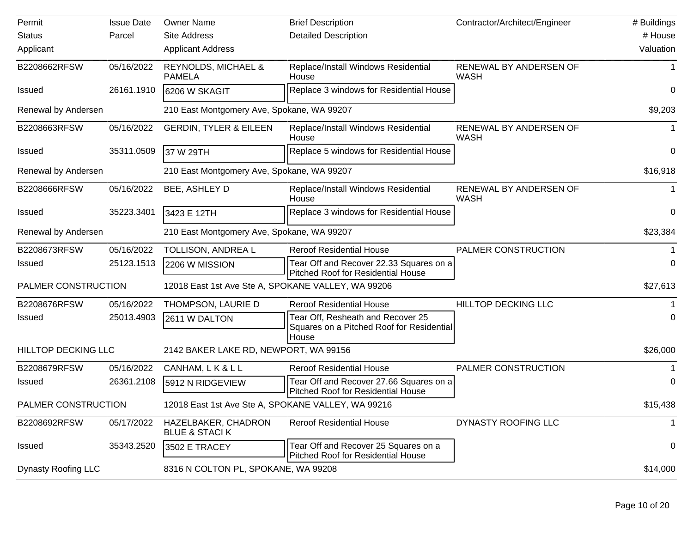| Permit                     | <b>Issue Date</b> | <b>Owner Name</b>                                  | <b>Brief Description</b>                                                                | Contractor/Architect/Engineer         | # Buildings  |
|----------------------------|-------------------|----------------------------------------------------|-----------------------------------------------------------------------------------------|---------------------------------------|--------------|
| <b>Status</b>              | Parcel            | Site Address                                       | <b>Detailed Description</b>                                                             |                                       | # House      |
| Applicant                  |                   | <b>Applicant Address</b>                           |                                                                                         |                                       | Valuation    |
| B2208662RFSW               | 05/16/2022        | <b>REYNOLDS, MICHAEL &amp;</b><br><b>PAMELA</b>    | Replace/Install Windows Residential<br>House                                            | RENEWAL BY ANDERSEN OF<br><b>WASH</b> |              |
| <b>Issued</b>              | 26161.1910        | 6206 W SKAGIT                                      | Replace 3 windows for Residential House                                                 |                                       | 0            |
| Renewal by Andersen        |                   | 210 East Montgomery Ave, Spokane, WA 99207         |                                                                                         |                                       | \$9,203      |
| B2208663RFSW               | 05/16/2022        | <b>GERDIN, TYLER &amp; EILEEN</b>                  | Replace/Install Windows Residential<br>House                                            | RENEWAL BY ANDERSEN OF<br><b>WASH</b> | 1            |
| <b>Issued</b>              | 35311.0509        | 37 W 29TH                                          | Replace 5 windows for Residential House                                                 |                                       | 0            |
| Renewal by Andersen        |                   | 210 East Montgomery Ave, Spokane, WA 99207         |                                                                                         |                                       | \$16,918     |
| B2208666RFSW               | 05/16/2022        | BEE, ASHLEY D                                      | Replace/Install Windows Residential<br>House                                            | RENEWAL BY ANDERSEN OF<br><b>WASH</b> |              |
| <b>Issued</b>              | 35223.3401        | 3423 E 12TH                                        | Replace 3 windows for Residential House                                                 |                                       | 0            |
| Renewal by Andersen        |                   | 210 East Montgomery Ave, Spokane, WA 99207         |                                                                                         |                                       | \$23,384     |
| B2208673RFSW               | 05/16/2022        | TOLLISON, ANDREA L                                 | <b>Reroof Residential House</b>                                                         | PALMER CONSTRUCTION                   |              |
| <b>Issued</b>              | 25123.1513        | 2206 W MISSION                                     | Tear Off and Recover 22.33 Squares on a<br>Pitched Roof for Residential House           |                                       | 0            |
| PALMER CONSTRUCTION        |                   | 12018 East 1st Ave Ste A, SPOKANE VALLEY, WA 99206 |                                                                                         |                                       | \$27,613     |
| B2208676RFSW               | 05/16/2022        | THOMPSON, LAURIE D                                 | <b>Reroof Residential House</b>                                                         | HILLTOP DECKING LLC                   |              |
| Issued                     | 25013.4903        | 2611 W DALTON                                      | Tear Off, Resheath and Recover 25<br>Squares on a Pitched Roof for Residential<br>House |                                       | 0            |
| <b>HILLTOP DECKING LLC</b> |                   | 2142 BAKER LAKE RD, NEWPORT, WA 99156              |                                                                                         |                                       | \$26,000     |
| B2208679RFSW               | 05/16/2022        | CANHAM, LK&LL                                      | <b>Reroof Residential House</b>                                                         | PALMER CONSTRUCTION                   |              |
| <b>Issued</b>              | 26361.2108        | 5912 N RIDGEVIEW                                   | Tear Off and Recover 27.66 Squares on a<br><b>Pitched Roof for Residential House</b>    |                                       | 0            |
| PALMER CONSTRUCTION        |                   | 12018 East 1st Ave Ste A, SPOKANE VALLEY, WA 99216 |                                                                                         |                                       | \$15,438     |
| B2208692RFSW               | 05/17/2022        | HAZELBAKER, CHADRON<br><b>BLUE &amp; STACIK</b>    | <b>Reroof Residential House</b>                                                         | DYNASTY ROOFING LLC                   | $\mathbf{1}$ |
| <b>Issued</b>              | 35343.2520        | 3502 E TRACEY                                      | Tear Off and Recover 25 Squares on a<br><b>Pitched Roof for Residential House</b>       |                                       | 0            |
| Dynasty Roofing LLC        |                   | 8316 N COLTON PL, SPOKANE, WA 99208                |                                                                                         |                                       | \$14,000     |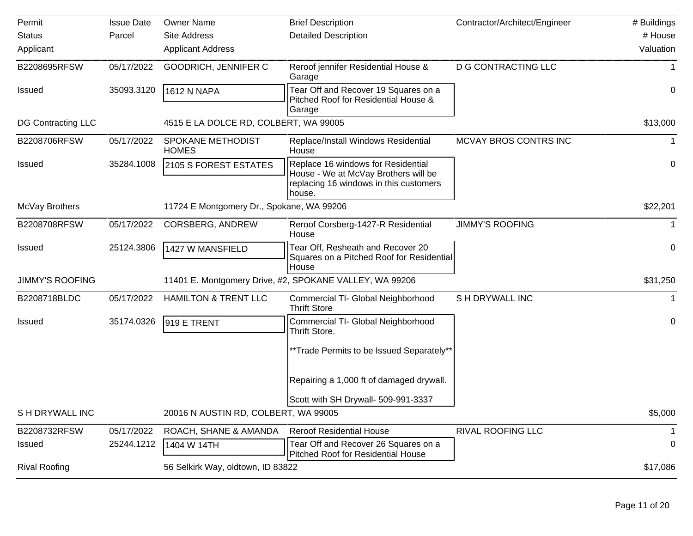| Permit                    | <b>Issue Date</b> | <b>Owner Name</b>                         | <b>Brief Description</b>                                                                                                       | Contractor/Architect/Engineer | # Buildings |
|---------------------------|-------------------|-------------------------------------------|--------------------------------------------------------------------------------------------------------------------------------|-------------------------------|-------------|
| <b>Status</b>             | Parcel            | <b>Site Address</b>                       | <b>Detailed Description</b>                                                                                                    |                               | # House     |
| Applicant                 |                   | <b>Applicant Address</b>                  |                                                                                                                                |                               | Valuation   |
| B2208695RFSW              | 05/17/2022        | GOODRICH, JENNIFER C                      | Reroof jennifer Residential House &<br>Garage                                                                                  | <b>D G CONTRACTING LLC</b>    |             |
| <b>Issued</b>             | 35093.3120        | 1612 N NAPA                               | Tear Off and Recover 19 Squares on a<br>Pitched Roof for Residential House &<br>Garage                                         |                               | 0           |
| <b>DG Contracting LLC</b> |                   | 4515 E LA DOLCE RD, COLBERT, WA 99005     |                                                                                                                                |                               | \$13,000    |
| B2208706RFSW              | 05/17/2022        | SPOKANE METHODIST<br><b>HOMES</b>         | Replace/Install Windows Residential<br>House                                                                                   | MCVAY BROS CONTRS INC         |             |
| <b>Issued</b>             | 35284.1008        | 2105 S FOREST ESTATES                     | Replace 16 windows for Residential<br>House - We at McVay Brothers will be<br>replacing 16 windows in this customers<br>house. |                               | 0           |
| McVay Brothers            |                   | 11724 E Montgomery Dr., Spokane, WA 99206 |                                                                                                                                |                               | \$22,201    |
| B2208708RFSW              | 05/17/2022        | <b>CORSBERG, ANDREW</b>                   | Reroof Corsberg-1427-R Residential<br>House                                                                                    | <b>JIMMY'S ROOFING</b>        |             |
| <b>Issued</b>             | 25124.3806        | 1427 W MANSFIELD                          | Tear Off, Resheath and Recover 20<br>Squares on a Pitched Roof for Residential<br>House                                        |                               | 0           |
| <b>JIMMY'S ROOFING</b>    |                   |                                           | 11401 E. Montgomery Drive, #2, SPOKANE VALLEY, WA 99206                                                                        |                               | \$31,250    |
| B2208718BLDC              | 05/17/2022        | <b>HAMILTON &amp; TRENT LLC</b>           | Commercial TI- Global Neighborhood<br><b>Thrift Store</b>                                                                      | S H DRYWALL INC               |             |
| <b>Issued</b>             | 35174.0326        | 919 E TRENT                               | Commercial TI- Global Neighborhood<br>Thrift Store.<br>**Trade Permits to be Issued Separately**                               |                               | 0           |
|                           |                   |                                           | Repairing a 1,000 ft of damaged drywall.                                                                                       |                               |             |
|                           |                   |                                           | Scott with SH Drywall- 509-991-3337                                                                                            |                               |             |
| S H DRYWALL INC           |                   | 20016 N AUSTIN RD, COLBERT, WA 99005      |                                                                                                                                |                               | \$5,000     |
| B2208732RFSW              | 05/17/2022        | ROACH, SHANE & AMANDA                     | <b>Reroof Residential House</b>                                                                                                | RIVAL ROOFING LLC             |             |
| Issued                    | 25244.1212        | 1404 W 14TH                               | Tear Off and Recover 26 Squares on a<br>Pitched Roof for Residential House                                                     |                               | 0           |
| <b>Rival Roofing</b>      |                   | 56 Selkirk Way, oldtown, ID 83822         |                                                                                                                                |                               | \$17,086    |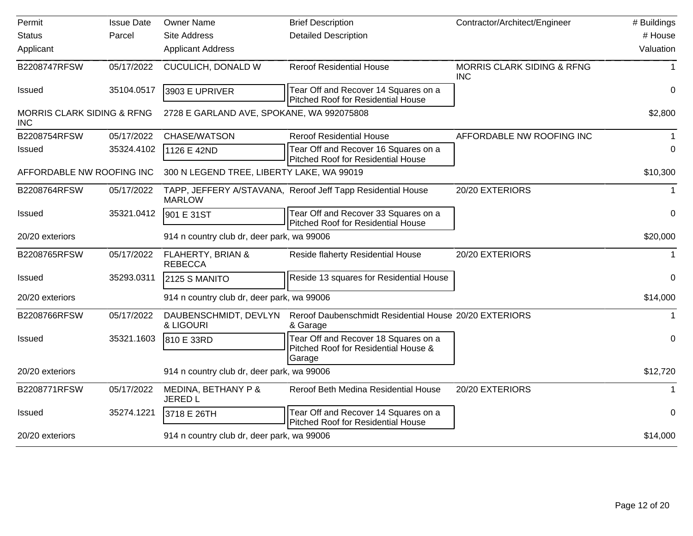| Permit                                              | <b>Issue Date</b> | <b>Owner Name</b>                          | <b>Brief Description</b>                                                                | Contractor/Architect/Engineer                       | # Buildings  |
|-----------------------------------------------------|-------------------|--------------------------------------------|-----------------------------------------------------------------------------------------|-----------------------------------------------------|--------------|
| <b>Status</b>                                       | Parcel            | <b>Site Address</b>                        | <b>Detailed Description</b>                                                             |                                                     | # House      |
| Applicant                                           |                   | <b>Applicant Address</b>                   |                                                                                         |                                                     | Valuation    |
| B2208747RFSW                                        | 05/17/2022        | CUCULICH, DONALD W                         | <b>Reroof Residential House</b>                                                         | <b>MORRIS CLARK SIDING &amp; RFNG</b><br><b>INC</b> |              |
| Issued                                              | 35104.0517        | 3903 E UPRIVER                             | Tear Off and Recover 14 Squares on a<br>Pitched Roof for Residential House              |                                                     | $\Omega$     |
| <b>MORRIS CLARK SIDING &amp; RFNG</b><br><b>INC</b> |                   | 2728 E GARLAND AVE, SPOKANE, WA 992075808  |                                                                                         |                                                     | \$2,800      |
| B2208754RFSW                                        | 05/17/2022        | CHASE/WATSON                               | <b>Reroof Residential House</b>                                                         | AFFORDABLE NW ROOFING INC                           |              |
| Issued                                              | 35324.4102        | 1126 E 42ND                                | Tear Off and Recover 16 Squares on a<br>Pitched Roof for Residential House              |                                                     | $\Omega$     |
| AFFORDABLE NW ROOFING INC                           |                   | 300 N LEGEND TREE, LIBERTY LAKE, WA 99019  |                                                                                         |                                                     | \$10,300     |
| B2208764RFSW                                        | 05/17/2022        | <b>MARLOW</b>                              | TAPP, JEFFERY A/STAVANA, Reroof Jeff Tapp Residential House                             | 20/20 EXTERIORS                                     | $\mathbf{1}$ |
| <b>Issued</b>                                       | 35321.0412        | 901 E 31ST                                 | Tear Off and Recover 33 Squares on a<br><b>Pitched Roof for Residential House</b>       |                                                     | 0            |
| 20/20 exteriors                                     |                   | 914 n country club dr, deer park, wa 99006 |                                                                                         |                                                     | \$20,000     |
| B2208765RFSW                                        | 05/17/2022        | FLAHERTY, BRIAN &<br><b>REBECCA</b>        | Reside flaherty Residential House                                                       | 20/20 EXTERIORS                                     | $\mathbf{1}$ |
| <b>Issued</b>                                       | 35293.0311        | 2125 S MANITO                              | Reside 13 squares for Residential House                                                 |                                                     | 0            |
| 20/20 exteriors                                     |                   | 914 n country club dr, deer park, wa 99006 |                                                                                         |                                                     | \$14,000     |
| B2208766RFSW                                        | 05/17/2022        | DAUBENSCHMIDT, DEVLYN<br>& LIGOURI         | Reroof Daubenschmidt Residential House 20/20 EXTERIORS<br>& Garage                      |                                                     |              |
| <b>Issued</b>                                       | 35321.1603        | 810 E 33RD                                 | Tear Off and Recover 18 Squares on a<br>Pitched Roof for Residential House &<br> Garage |                                                     | $\mathbf 0$  |
| 20/20 exteriors                                     |                   | 914 n country club dr, deer park, wa 99006 |                                                                                         |                                                     | \$12,720     |
| B2208771RFSW                                        | 05/17/2022        | MEDINA, BETHANY P &<br><b>JERED L</b>      | Reroof Beth Medina Residential House                                                    | 20/20 EXTERIORS                                     | $\mathbf 1$  |
| <b>Issued</b>                                       | 35274.1221        | 3718 E 26TH                                | Tear Off and Recover 14 Squares on a<br>Pitched Roof for Residential House              |                                                     | $\Omega$     |
| 20/20 exteriors                                     |                   | 914 n country club dr, deer park, wa 99006 |                                                                                         |                                                     | \$14,000     |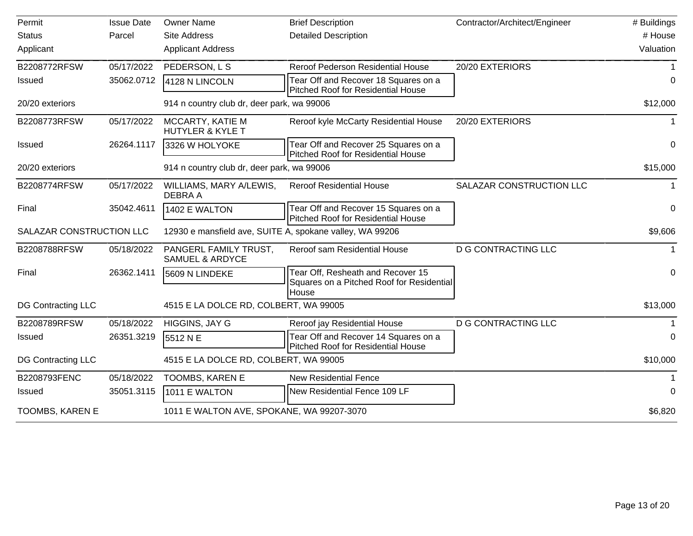| Permit                    | <b>Issue Date</b> | <b>Owner Name</b>                                        | <b>Brief Description</b>                                                                | Contractor/Architect/Engineer | # Buildings |
|---------------------------|-------------------|----------------------------------------------------------|-----------------------------------------------------------------------------------------|-------------------------------|-------------|
| <b>Status</b>             | Parcel            | <b>Site Address</b>                                      | <b>Detailed Description</b>                                                             |                               | # House     |
| Applicant                 |                   | <b>Applicant Address</b>                                 |                                                                                         |                               | Valuation   |
| B2208772RFSW              | 05/17/2022        | PEDERSON, L S                                            | Reroof Pederson Residential House                                                       | 20/20 EXTERIORS               |             |
| Issued                    | 35062.0712        | 4128 N LINCOLN                                           | Tear Off and Recover 18 Squares on a<br><b>Pitched Roof for Residential House</b>       |                               | 0           |
| 20/20 exteriors           |                   | 914 n country club dr, deer park, wa 99006               |                                                                                         |                               | \$12,000    |
| B2208773RFSW              | 05/17/2022        | MCCARTY, KATIE M<br><b>HUTYLER &amp; KYLE T</b>          | Reroof kyle McCarty Residential House                                                   | 20/20 EXTERIORS               | 1           |
| <b>Issued</b>             | 26264.1117        | 3326 W HOLYOKE                                           | Tear Off and Recover 25 Squares on a<br><b>Pitched Roof for Residential House</b>       |                               | 0           |
| 20/20 exteriors           |                   | 914 n country club dr, deer park, wa 99006               |                                                                                         |                               | \$15,000    |
| B2208774RFSW              | 05/17/2022        | WILLIAMS, MARY A/LEWIS,<br>DEBRA A                       | <b>Reroof Residential House</b>                                                         | SALAZAR CONSTRUCTION LLC      | 1           |
| Final                     | 35042.4611        | 1402 E WALTON                                            | Tear Off and Recover 15 Squares on a<br>Pitched Roof for Residential House              |                               | 0           |
| SALAZAR CONSTRUCTION LLC  |                   | 12930 e mansfield ave, SUITE A, spokane valley, WA 99206 |                                                                                         |                               | \$9,606     |
| B2208788RFSW              | 05/18/2022        | PANGERL FAMILY TRUST.<br><b>SAMUEL &amp; ARDYCE</b>      | Reroof sam Residential House                                                            | <b>D G CONTRACTING LLC</b>    | 1           |
| Final                     | 26362.1411        | 5609 N LINDEKE                                           | Tear Off, Resheath and Recover 15<br>Squares on a Pitched Roof for Residential<br>House |                               | 0           |
| <b>DG Contracting LLC</b> |                   | 4515 E LA DOLCE RD, COLBERT, WA 99005                    |                                                                                         |                               | \$13,000    |
| B2208789RFSW              | 05/18/2022        | HIGGINS, JAY G                                           | Reroof jay Residential House                                                            | <b>D G CONTRACTING LLC</b>    |             |
| <b>Issued</b>             | 26351.3219        | 5512 N E                                                 | Tear Off and Recover 14 Squares on a<br><b>Pitched Roof for Residential House</b>       |                               | 0           |
| <b>DG Contracting LLC</b> |                   | 4515 E LA DOLCE RD, COLBERT, WA 99005                    |                                                                                         |                               | \$10,000    |
| B2208793FENC              | 05/18/2022        | TOOMBS, KAREN E                                          | <b>New Residential Fence</b>                                                            |                               |             |
| <b>Issued</b>             | 35051.3115        | 1011 E WALTON                                            | New Residential Fence 109 LF                                                            |                               | 0           |
| TOOMBS, KAREN E           |                   | 1011 E WALTON AVE, SPOKANE, WA 99207-3070                |                                                                                         |                               | \$6,820     |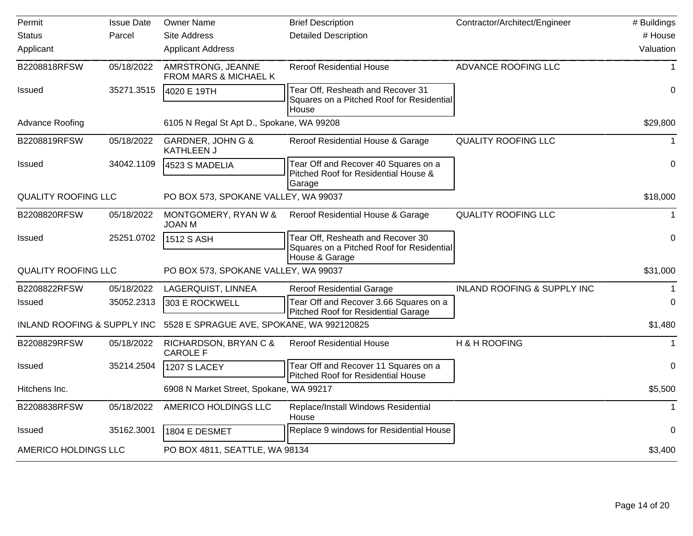| Permit                                 | Issue Date | <b>Owner Name</b>                              | <b>Brief Description</b>                                                                         | Contractor/Architect/Engineer          | # Buildings  |
|----------------------------------------|------------|------------------------------------------------|--------------------------------------------------------------------------------------------------|----------------------------------------|--------------|
| <b>Status</b>                          | Parcel     | <b>Site Address</b>                            | <b>Detailed Description</b>                                                                      |                                        | # House      |
| Applicant                              |            | <b>Applicant Address</b>                       |                                                                                                  |                                        | Valuation    |
| B2208818RFSW                           | 05/18/2022 | AMRSTRONG, JEANNE<br>FROM MARS & MICHAEL K     | <b>Reroof Residential House</b>                                                                  | ADVANCE ROOFING LLC                    | $\mathbf 1$  |
| <b>Issued</b>                          | 35271.3515 | 4020 E 19TH                                    | Tear Off, Resheath and Recover 31<br>Squares on a Pitched Roof for Residential                   |                                        | $\mathbf 0$  |
| Advance Roofing                        |            | 6105 N Regal St Apt D., Spokane, WA 99208      | House                                                                                            |                                        | \$29,800     |
| B2208819RFSW                           | 05/18/2022 | GARDNER, JOHN G &<br><b>KATHLEEN J</b>         | Reroof Residential House & Garage                                                                | <b>QUALITY ROOFING LLC</b>             |              |
| <b>Issued</b>                          | 34042.1109 | 4523 S MADELIA                                 | Tear Off and Recover 40 Squares on a<br>Pitched Roof for Residential House &                     |                                        | 0            |
| <b>QUALITY ROOFING LLC</b>             |            | Garage<br>PO BOX 573, SPOKANE VALLEY, WA 99037 |                                                                                                  |                                        | \$18,000     |
| B2208820RFSW                           | 05/18/2022 | MONTGOMERY, RYAN W &<br><b>JOAN M</b>          | Reroof Residential House & Garage                                                                | <b>QUALITY ROOFING LLC</b>             | $\mathbf{1}$ |
| <b>Issued</b>                          | 25251.0702 | 1512 S ASH                                     | Tear Off, Resheath and Recover 30<br>Squares on a Pitched Roof for Residential<br>House & Garage |                                        | $\mathbf 0$  |
| <b>QUALITY ROOFING LLC</b>             |            | PO BOX 573, SPOKANE VALLEY, WA 99037           |                                                                                                  |                                        | \$31,000     |
| B2208822RFSW                           | 05/18/2022 | LAGERQUIST, LINNEA                             | <b>Reroof Residential Garage</b>                                                                 | <b>INLAND ROOFING &amp; SUPPLY INC</b> |              |
| <b>Issued</b>                          | 35052.2313 | 303 E ROCKWELL                                 | Tear Off and Recover 3.66 Squares on a<br><b>Pitched Roof for Residential Garage</b>             |                                        | 0            |
| <b>INLAND ROOFING &amp; SUPPLY INC</b> |            | 5528 E SPRAGUE AVE, SPOKANE, WA 992120825      |                                                                                                  |                                        | \$1,480      |
| B2208829RFSW                           | 05/18/2022 | RICHARDSON, BRYAN C &<br><b>CAROLE F</b>       | <b>Reroof Residential House</b>                                                                  | H & H ROOFING                          |              |
| <b>Issued</b>                          | 35214.2504 | <b>1207 S LACEY</b>                            | Tear Off and Recover 11 Squares on a<br>Pitched Roof for Residential House                       |                                        | 0            |
| Hitchens Inc.                          |            | 6908 N Market Street, Spokane, WA 99217        |                                                                                                  |                                        | \$5,500      |
| B2208838RFSW                           | 05/18/2022 | AMERICO HOLDINGS LLC                           | Replace/Install Windows Residential<br>House                                                     |                                        | $\mathbf 1$  |
| <b>Issued</b>                          | 35162.3001 | 1804 E DESMET                                  | Replace 9 windows for Residential House                                                          |                                        | 0            |
| AMERICO HOLDINGS LLC                   |            | PO BOX 4811, SEATTLE, WA 98134                 |                                                                                                  |                                        | \$3,400      |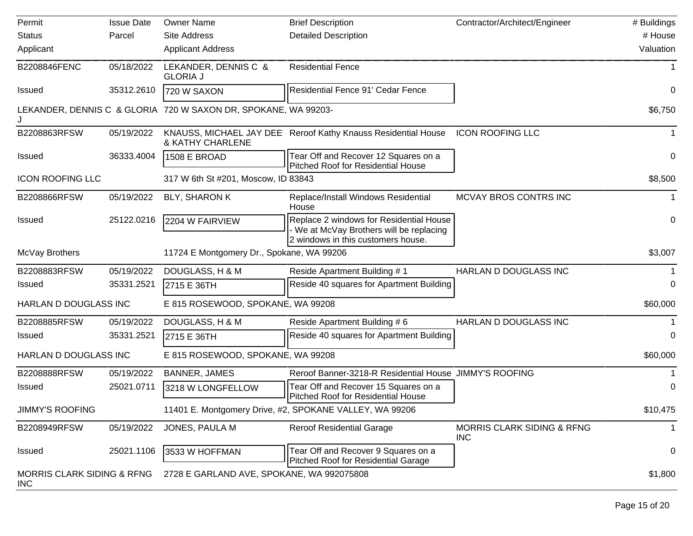| Permit                                              | <b>Issue Date</b> | <b>Owner Name</b>                                              | <b>Brief Description</b>                                                                                                | Contractor/Architect/Engineer            | # Buildings |
|-----------------------------------------------------|-------------------|----------------------------------------------------------------|-------------------------------------------------------------------------------------------------------------------------|------------------------------------------|-------------|
| <b>Status</b>                                       | Parcel            | Site Address                                                   | <b>Detailed Description</b>                                                                                             |                                          | # House     |
| Applicant                                           |                   | <b>Applicant Address</b>                                       |                                                                                                                         |                                          | Valuation   |
| B2208846FENC                                        | 05/18/2022        | LEKANDER, DENNIS C &<br><b>GLORIA J</b>                        | <b>Residential Fence</b>                                                                                                |                                          |             |
| <b>Issued</b>                                       | 35312.2610        | 720 W SAXON                                                    | Residential Fence 91' Cedar Fence                                                                                       |                                          | 0           |
|                                                     |                   | LEKANDER, DENNIS C & GLORIA 720 W SAXON DR, SPOKANE, WA 99203- |                                                                                                                         |                                          | \$6,750     |
| B2208863RFSW                                        | 05/19/2022        | <b>&amp; KATHY CHARLENE</b>                                    | KNAUSS, MICHAEL JAY DEE Reroof Kathy Knauss Residential House                                                           | <b>ICON ROOFING LLC</b>                  |             |
| <b>Issued</b>                                       | 36333.4004        | 1508 E BROAD                                                   | Tear Off and Recover 12 Squares on a<br>Pitched Roof for Residential House                                              |                                          | 0           |
| <b>ICON ROOFING LLC</b>                             |                   | 317 W 6th St #201, Moscow, ID 83843                            |                                                                                                                         |                                          | \$8,500     |
| B2208866RFSW                                        | 05/19/2022        | BLY, SHARON K                                                  | Replace/Install Windows Residential<br>House                                                                            | MCVAY BROS CONTRS INC                    |             |
| <b>Issued</b>                                       | 25122.0216        | 2204 W FAIRVIEW                                                | Replace 2 windows for Residential House<br>We at McVay Brothers will be replacing<br>2 windows in this customers house. |                                          | 0           |
| McVay Brothers                                      |                   | 11724 E Montgomery Dr., Spokane, WA 99206                      |                                                                                                                         |                                          | \$3,007     |
| B2208883RFSW                                        | 05/19/2022        | DOUGLASS, H & M                                                | Reside Apartment Building #1                                                                                            | HARLAN D DOUGLASS INC                    |             |
| <b>Issued</b>                                       | 35331.2521        | 2715 E 36TH                                                    | Reside 40 squares for Apartment Building                                                                                |                                          | 0           |
| HARLAN D DOUGLASS INC                               |                   | E 815 ROSEWOOD, SPOKANE, WA 99208                              |                                                                                                                         |                                          | \$60,000    |
| B2208885RFSW                                        | 05/19/2022        | DOUGLASS, H & M                                                | Reside Apartment Building #6                                                                                            | HARLAN D DOUGLASS INC                    |             |
| <b>Issued</b>                                       | 35331.2521        | 2715 E 36TH                                                    | Reside 40 squares for Apartment Building                                                                                |                                          | 0           |
| HARLAN D DOUGLASS INC                               |                   | E 815 ROSEWOOD, SPOKANE, WA 99208                              |                                                                                                                         |                                          | \$60,000    |
| B2208888RFSW                                        | 05/19/2022        | <b>BANNER, JAMES</b>                                           | Reroof Banner-3218-R Residential House JIMMY'S ROOFING                                                                  |                                          |             |
| <b>Issued</b>                                       | 25021.0711        | 3218 W LONGFELLOW                                              | Tear Off and Recover 15 Squares on a<br><b>Pitched Roof for Residential House</b>                                       |                                          | 0           |
| <b>JIMMY'S ROOFING</b>                              |                   |                                                                | 11401 E. Montgomery Drive, #2, SPOKANE VALLEY, WA 99206                                                                 |                                          | \$10,475    |
| B2208949RFSW                                        | 05/19/2022        | JONES, PAULA M                                                 | <b>Reroof Residential Garage</b>                                                                                        | MORRIS CLARK SIDING & RFNG<br><b>INC</b> | $\mathbf 1$ |
| <b>Issued</b>                                       | 25021.1106        | 3533 W HOFFMAN                                                 | Tear Off and Recover 9 Squares on a<br>Pitched Roof for Residential Garage                                              |                                          | 0           |
| <b>MORRIS CLARK SIDING &amp; RFNG</b><br><b>INC</b> |                   | 2728 E GARLAND AVE, SPOKANE, WA 992075808                      |                                                                                                                         |                                          | \$1,800     |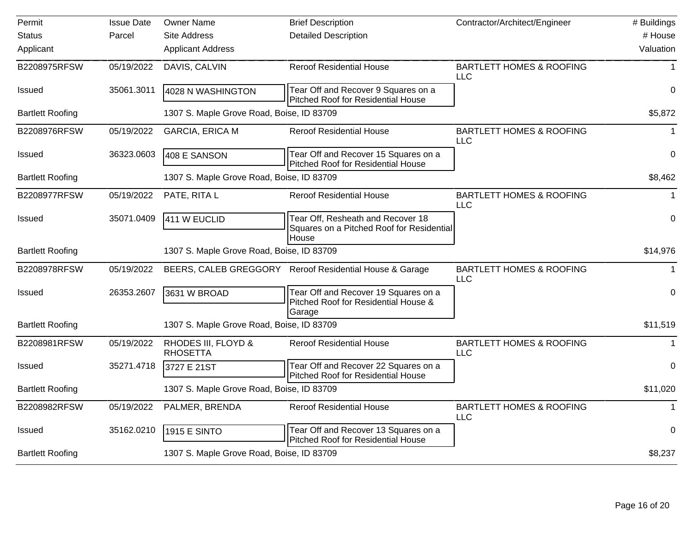| Permit                  | <b>Issue Date</b> | <b>Owner Name</b>                         | <b>Brief Description</b>                                                                | Contractor/Architect/Engineer                     | # Buildings  |
|-------------------------|-------------------|-------------------------------------------|-----------------------------------------------------------------------------------------|---------------------------------------------------|--------------|
| <b>Status</b>           | Parcel            | Site Address                              | <b>Detailed Description</b>                                                             |                                                   | # House      |
| Applicant               |                   | <b>Applicant Address</b>                  |                                                                                         |                                                   | Valuation    |
| B2208975RFSW            | 05/19/2022        | DAVIS, CALVIN                             | <b>Reroof Residential House</b>                                                         | <b>BARTLETT HOMES &amp; ROOFING</b><br><b>LLC</b> | $\mathbf 1$  |
| Issued                  | 35061.3011        | 4028 N WASHINGTON                         | Tear Off and Recover 9 Squares on a<br><b>Pitched Roof for Residential House</b>        |                                                   | $\mathbf 0$  |
| <b>Bartlett Roofing</b> |                   | 1307 S. Maple Grove Road, Boise, ID 83709 |                                                                                         |                                                   | \$5,872      |
| B2208976RFSW            | 05/19/2022        | <b>GARCIA, ERICA M</b>                    | <b>Reroof Residential House</b>                                                         | <b>BARTLETT HOMES &amp; ROOFING</b><br><b>LLC</b> | $\mathbf{1}$ |
| <b>Issued</b>           | 36323.0603        | 408 E SANSON                              | Tear Off and Recover 15 Squares on a<br><b>Pitched Roof for Residential House</b>       |                                                   | $\Omega$     |
| <b>Bartlett Roofing</b> |                   | 1307 S. Maple Grove Road, Boise, ID 83709 |                                                                                         |                                                   | \$8,462      |
| B2208977RFSW            | 05/19/2022        | PATE, RITA L                              | <b>Reroof Residential House</b>                                                         | <b>BARTLETT HOMES &amp; ROOFING</b><br><b>LLC</b> |              |
| <b>Issued</b>           | 35071.0409        | 411 W EUCLID                              | Tear Off, Resheath and Recover 18<br>Squares on a Pitched Roof for Residential<br>House |                                                   | $\mathbf 0$  |
| <b>Bartlett Roofing</b> |                   | 1307 S. Maple Grove Road, Boise, ID 83709 |                                                                                         |                                                   | \$14,976     |
| B2208978RFSW            | 05/19/2022        |                                           | BEERS, CALEB GREGGORY Reroof Residential House & Garage                                 | <b>BARTLETT HOMES &amp; ROOFING</b><br><b>LLC</b> | $\mathbf 1$  |
| Issued                  | 26353.2607        | 3631 W BROAD                              | Tear Off and Recover 19 Squares on a<br>Pitched Roof for Residential House &<br>Garage  |                                                   | 0            |
| <b>Bartlett Roofing</b> |                   | 1307 S. Maple Grove Road, Boise, ID 83709 |                                                                                         |                                                   | \$11,519     |
| B2208981RFSW            | 05/19/2022        | RHODES III, FLOYD &<br><b>RHOSETTA</b>    | <b>Reroof Residential House</b>                                                         | <b>BARTLETT HOMES &amp; ROOFING</b><br><b>LLC</b> | $\mathbf 1$  |
| <b>Issued</b>           | 35271.4718        | 3727 E 21ST                               | Tear Off and Recover 22 Squares on a<br>Pitched Roof for Residential House              |                                                   | $\mathbf 0$  |
| <b>Bartlett Roofing</b> |                   | 1307 S. Maple Grove Road, Boise, ID 83709 |                                                                                         |                                                   | \$11,020     |
| B2208982RFSW            | 05/19/2022        | PALMER, BRENDA                            | <b>Reroof Residential House</b>                                                         | <b>BARTLETT HOMES &amp; ROOFING</b><br><b>LLC</b> | $\mathbf{1}$ |
| <b>Issued</b>           | 35162.0210        | 1915 E SINTO                              | Tear Off and Recover 13 Squares on a<br><b>Pitched Roof for Residential House</b>       |                                                   | 0            |
| <b>Bartlett Roofing</b> |                   | 1307 S. Maple Grove Road, Boise, ID 83709 |                                                                                         |                                                   | \$8,237      |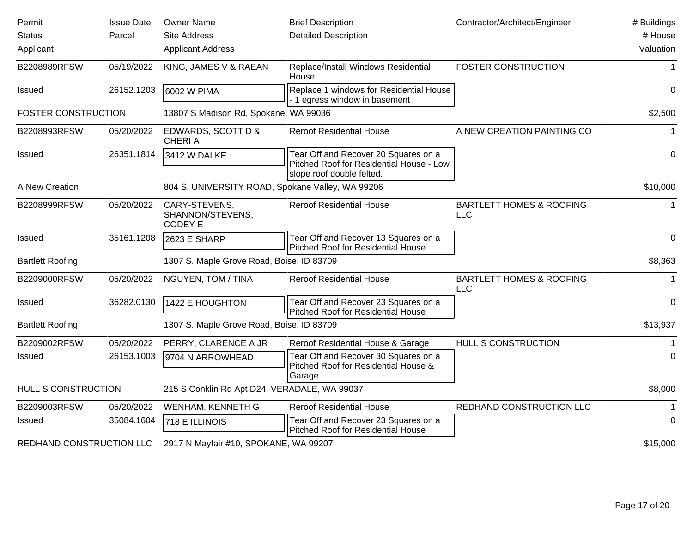| Permit                     | <b>Issue Date</b> | <b>Owner Name</b>                                   | <b>Brief Description</b>                                                                                      | Contractor/Architect/Engineer                     | # Buildings    |
|----------------------------|-------------------|-----------------------------------------------------|---------------------------------------------------------------------------------------------------------------|---------------------------------------------------|----------------|
| <b>Status</b>              | Parcel            | <b>Site Address</b>                                 | <b>Detailed Description</b>                                                                                   |                                                   | # House        |
| Applicant                  |                   | <b>Applicant Address</b>                            |                                                                                                               |                                                   | Valuation      |
| B2208989RFSW               | 05/19/2022        | KING, JAMES V & RAEAN                               | Replace/Install Windows Residential<br>House                                                                  | <b>FOSTER CONSTRUCTION</b>                        | 1              |
| <b>Issued</b>              | 26152.1203        | 6002 W PIMA                                         | Replace 1 windows for Residential House<br>1 egress window in basement                                        |                                                   | $\Omega$       |
| <b>FOSTER CONSTRUCTION</b> |                   | 13807 S Madison Rd, Spokane, WA 99036               |                                                                                                               |                                                   | \$2,500        |
| B2208993RFSW               | 05/20/2022        | EDWARDS, SCOTT D &<br><b>CHERIA</b>                 | <b>Reroof Residential House</b>                                                                               | A NEW CREATION PAINTING CO                        |                |
| Issued                     | 26351.1814        | 3412 W DALKE                                        | Tear Off and Recover 20 Squares on a<br>Pitched Roof for Residential House - Low<br>slope roof double felted. |                                                   | $\mathbf 0$    |
| A New Creation             |                   | 804 S. UNIVERSITY ROAD, Spokane Valley, WA 99206    |                                                                                                               |                                                   | \$10,000       |
| B2208999RFSW               | 05/20/2022        | CARY-STEVENS,<br>SHANNON/STEVENS,<br><b>CODEY E</b> | <b>Reroof Residential House</b>                                                                               | <b>BARTLETT HOMES &amp; ROOFING</b><br><b>LLC</b> | $\mathbf 1$    |
| <b>Issued</b>              | 35161.1208        | 2623 E SHARP                                        | Tear Off and Recover 13 Squares on a<br>Pitched Roof for Residential House                                    |                                                   | $\mathbf 0$    |
| <b>Bartlett Roofing</b>    |                   | 1307 S. Maple Grove Road, Boise, ID 83709           |                                                                                                               |                                                   | \$8,363        |
| B2209000RFSW               | 05/20/2022        | NGUYEN, TOM / TINA                                  | <b>Reroof Residential House</b>                                                                               | <b>BARTLETT HOMES &amp; ROOFING</b><br><b>LLC</b> | 1              |
| <b>Issued</b>              | 36282.0130        | 1422 E HOUGHTON                                     | Tear Off and Recover 23 Squares on a<br>Pitched Roof for Residential House                                    |                                                   | $\overline{0}$ |
| <b>Bartlett Roofing</b>    |                   | 1307 S. Maple Grove Road, Boise, ID 83709           |                                                                                                               |                                                   | \$13,937       |
| B2209002RFSW               | 05/20/2022        | PERRY, CLARENCE A JR                                | Reroof Residential House & Garage                                                                             | HULL S CONSTRUCTION                               |                |
| Issued                     | 26153.1003        | 9704 N ARROWHEAD                                    | Tear Off and Recover 30 Squares on a<br>Pitched Roof for Residential House &<br>Garage                        |                                                   | $\Omega$       |
| HULL S CONSTRUCTION        |                   | 215 S Conklin Rd Apt D24, VERADALE, WA 99037        |                                                                                                               |                                                   | \$8,000        |
| B2209003RFSW               | 05/20/2022        | WENHAM, KENNETH G                                   | <b>Reroof Residential House</b>                                                                               | REDHAND CONSTRUCTION LLC                          |                |
| <b>Issued</b>              | 35084.1604        | 718 E ILLINOIS                                      | Tear Off and Recover 23 Squares on a<br><b>Pitched Roof for Residential House</b>                             |                                                   | 0              |
| REDHAND CONSTRUCTION LLC   |                   | 2917 N Mayfair #10, SPOKANE, WA 99207               |                                                                                                               |                                                   | \$15,000       |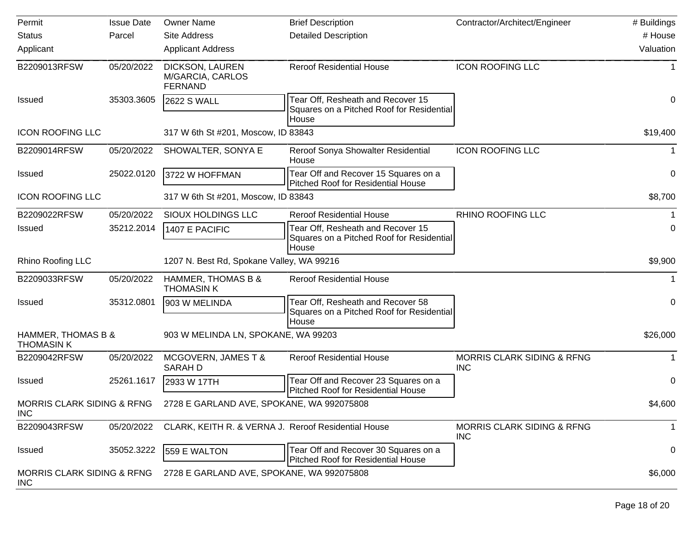| Permit                                              | <b>Issue Date</b> | <b>Owner Name</b>                                     | <b>Brief Description</b>                                                                | Contractor/Architect/Engineer                       | # Buildings |
|-----------------------------------------------------|-------------------|-------------------------------------------------------|-----------------------------------------------------------------------------------------|-----------------------------------------------------|-------------|
| <b>Status</b>                                       | Parcel            | <b>Site Address</b>                                   | <b>Detailed Description</b>                                                             |                                                     | # House     |
| Applicant                                           |                   | <b>Applicant Address</b>                              |                                                                                         |                                                     | Valuation   |
| B2209013RFSW                                        | 05/20/2022        | DICKSON, LAUREN<br>M/GARCIA, CARLOS<br><b>FERNAND</b> | <b>Reroof Residential House</b>                                                         | <b>ICON ROOFING LLC</b>                             |             |
| <b>Issued</b>                                       | 35303.3605        | 2622 S WALL                                           | Tear Off, Resheath and Recover 15<br>Squares on a Pitched Roof for Residential<br>House |                                                     | 0           |
| <b>ICON ROOFING LLC</b>                             |                   | 317 W 6th St #201, Moscow, ID 83843                   |                                                                                         |                                                     | \$19,400    |
| B2209014RFSW                                        | 05/20/2022        | SHOWALTER, SONYA E                                    | Reroof Sonya Showalter Residential<br>House                                             | <b>ICON ROOFING LLC</b>                             |             |
| <b>Issued</b>                                       | 25022.0120        | 3722 W HOFFMAN                                        | Tear Off and Recover 15 Squares on a<br><b>Pitched Roof for Residential House</b>       |                                                     | 0           |
| <b>ICON ROOFING LLC</b>                             |                   | 317 W 6th St #201, Moscow, ID 83843                   |                                                                                         |                                                     |             |
| B2209022RFSW                                        | 05/20/2022        | SIOUX HOLDINGS LLC                                    | <b>Reroof Residential House</b>                                                         | <b>RHINO ROOFING LLC</b>                            |             |
| <b>Issued</b>                                       | 35212.2014        | 1407 E PACIFIC                                        | Tear Off, Resheath and Recover 15<br>Squares on a Pitched Roof for Residential<br>House |                                                     | 0           |
| Rhino Roofing LLC                                   |                   | 1207 N. Best Rd, Spokane Valley, WA 99216             |                                                                                         |                                                     | \$9,900     |
| B2209033RFSW                                        | 05/20/2022        | HAMMER, THOMAS B &<br><b>THOMASIN K</b>               | <b>Reroof Residential House</b>                                                         |                                                     |             |
| <b>Issued</b>                                       | 35312.0801        | 903 W MELINDA                                         | Tear Off, Resheath and Recover 58<br>Squares on a Pitched Roof for Residential<br>House |                                                     | 0           |
| HAMMER, THOMAS B &<br><b>THOMASIN K</b>             |                   | 903 W MELINDA LN, SPOKANE, WA 99203                   |                                                                                         |                                                     | \$26,000    |
| B2209042RFSW                                        | 05/20/2022        | MCGOVERN, JAMES T &<br><b>SARAHD</b>                  | <b>Reroof Residential House</b>                                                         | <b>MORRIS CLARK SIDING &amp; RFNG</b><br><b>INC</b> | 1           |
| <b>Issued</b>                                       | 25261.1617        | 2933 W 17TH                                           | Tear Off and Recover 23 Squares on a<br><b>Pitched Roof for Residential House</b>       |                                                     | 0           |
| MORRIS CLARK SIDING & RFNG<br><b>INC</b>            |                   | 2728 E GARLAND AVE, SPOKANE, WA 992075808             |                                                                                         |                                                     | \$4,600     |
| B2209043RFSW                                        | 05/20/2022        | CLARK, KEITH R. & VERNA J. Reroof Residential House   |                                                                                         | <b>MORRIS CLARK SIDING &amp; RFNG</b><br><b>INC</b> | 1           |
| <b>Issued</b>                                       | 35052.3222        | 559 E WALTON                                          | Tear Off and Recover 30 Squares on a<br>Pitched Roof for Residential House              |                                                     | 0           |
| <b>MORRIS CLARK SIDING &amp; RFNG</b><br><b>INC</b> |                   | 2728 E GARLAND AVE, SPOKANE, WA 992075808             |                                                                                         |                                                     | \$6,000     |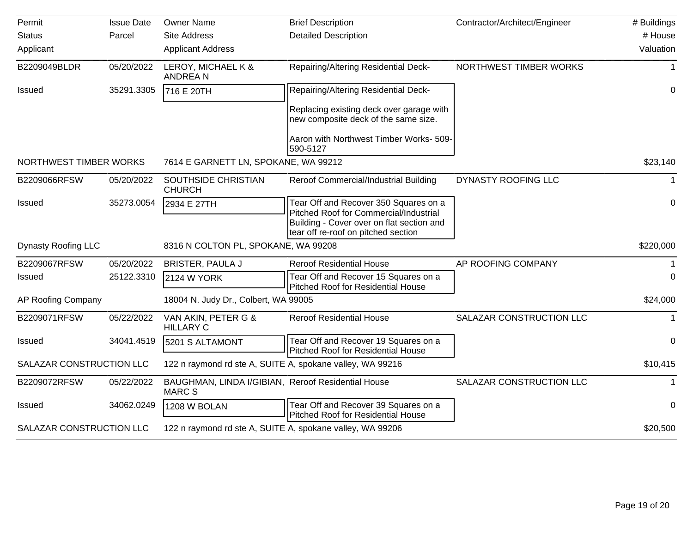| Permit                     | <b>Issue Date</b> | <b>Owner Name</b>                                                  | <b>Brief Description</b>                                                          | Contractor/Architect/Engineer | # Buildings |
|----------------------------|-------------------|--------------------------------------------------------------------|-----------------------------------------------------------------------------------|-------------------------------|-------------|
| <b>Status</b>              | Parcel            | <b>Site Address</b>                                                | <b>Detailed Description</b>                                                       |                               | # House     |
| Applicant                  |                   | <b>Applicant Address</b>                                           |                                                                                   |                               | Valuation   |
| B2209049BLDR               | 05/20/2022        | LEROY, MICHAEL K &<br><b>ANDREAN</b>                               | Repairing/Altering Residential Deck-                                              | NORTHWEST TIMBER WORKS        |             |
| <b>Issued</b>              | 35291.3305        | 716 E 20TH                                                         | <b>Repairing/Altering Residential Deck-</b>                                       |                               | 0           |
|                            |                   |                                                                    | Replacing existing deck over garage with<br>new composite deck of the same size.  |                               |             |
|                            |                   |                                                                    | Aaron with Northwest Timber Works- 509-<br>590-5127                               |                               |             |
| NORTHWEST TIMBER WORKS     |                   | 7614 E GARNETT LN, SPOKANE, WA 99212                               |                                                                                   |                               | \$23,140    |
| B2209066RFSW               | 05/20/2022        | SOUTHSIDE CHRISTIAN<br><b>CHURCH</b>                               | Reroof Commercial/Industrial Building                                             | DYNASTY ROOFING LLC           |             |
| <b>Issued</b>              | 35273.0054        | 2934 E 27TH                                                        | Tear Off and Recover 350 Squares on a<br>Pitched Roof for Commercial/Industrial   |                               | 0           |
|                            |                   |                                                                    | Building - Cover over on flat section and<br>tear off re-roof on pitched section  |                               |             |
| <b>Dynasty Roofing LLC</b> |                   | 8316 N COLTON PL, SPOKANE, WA 99208                                |                                                                                   |                               | \$220,000   |
| B2209067RFSW               | 05/20/2022        | <b>BRISTER, PAULA J</b>                                            | <b>Reroof Residential House</b>                                                   | AP ROOFING COMPANY            |             |
| <b>Issued</b>              | 25122.3310        | 2124 W YORK                                                        | Tear Off and Recover 15 Squares on a<br><b>Pitched Roof for Residential House</b> |                               | $\Omega$    |
| AP Roofing Company         |                   | 18004 N. Judy Dr., Colbert, WA 99005                               |                                                                                   |                               | \$24,000    |
| B2209071RFSW               | 05/22/2022        | VAN AKIN, PETER G &<br><b>HILLARY C</b>                            | <b>Reroof Residential House</b>                                                   | SALAZAR CONSTRUCTION LLC      | $\mathbf 1$ |
| <b>Issued</b>              | 34041.4519        | 5201 S ALTAMONT                                                    | Tear Off and Recover 19 Squares on a<br>Pitched Roof for Residential House        |                               | 0           |
| SALAZAR CONSTRUCTION LLC   |                   | 122 n raymond rd ste A, SUITE A, spokane valley, WA 99216          |                                                                                   |                               | \$10,415    |
| B2209072RFSW               | 05/22/2022        | BAUGHMAN, LINDA I/GIBIAN, Reroof Residential House<br><b>MARCS</b> |                                                                                   | SALAZAR CONSTRUCTION LLC      |             |
| Issued                     | 34062.0249        | 1208 W BOLAN                                                       | Tear Off and Recover 39 Squares on a<br>Pitched Roof for Residential House        |                               | $\mathbf 0$ |
| SALAZAR CONSTRUCTION LLC   |                   | 122 n raymond rd ste A, SUITE A, spokane valley, WA 99206          |                                                                                   |                               | \$20,500    |